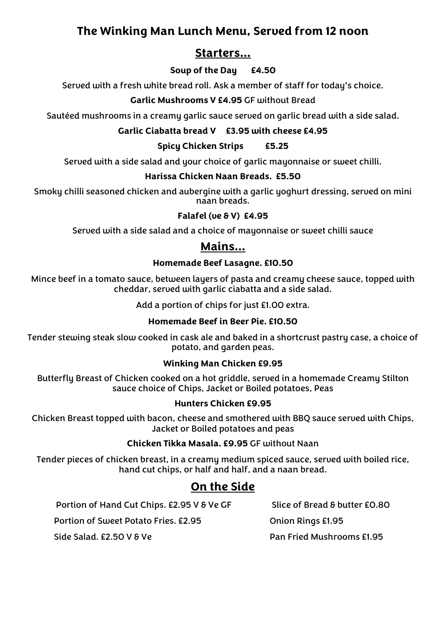### **Starters…**

#### **Soup of the Day £4.50**

Served with a fresh white bread roll. Ask a member of staff for today's choice.

#### **Garlic Mushrooms V £4.95** GF without Bread

Sautéed mushrooms in a creamu garlic sauce served on garlic bread with a side salad.

#### **Garlic Ciabatta bread V £3.95 with cheese £4.95**

#### **Spicy Chicken Strips £5.25**

Served with a side salad and your choice of garlic mayonnaise or sweet chilli.

#### **Harissa Chicken Naan Breads. £5.50**

Smoky chilli seasoned chicken and aubergine with a garlic yoghurt dressing, served on mini naan breads.

#### **Falafel (ve & V) £4.95**

Served with a side salad and a choice of mayonnaise or sweet chilli sauce

### **Mains…**

#### **Homemade Beef Lasagne. £10.50**

Mince beef in a tomato sauce, between layers of pasta and creamy cheese sauce, topped with cheddar, served with garlic ciabatta and a side salad.

Add a portion of chips for just £1.00 extra.

#### **Homemade Beef in Beer Pie. £10.50**

Tender stewing steak slow cooked in cask ale and baked in a shortcrust pastry case, a choice of potato, and garden peas.

#### **Winking Man Chicken £9.95**

Butterfly Breast of Chicken cooked on a hot griddle, served in a homemade Creamy Stilton sauce choice of Chips, Jacket or Boiled potatoes, Peas

#### **Hunters Chicken £9.95**

Chicken Breast topped with bacon, cheese and smothered with BBQ sauce served with Chips, Jacket or Boiled potatoes and peas

#### **Chicken Tikka Masala. £9.95** GF without Naan

Tender pieces of chicken breast, in a creamy medium spiced sauce, served with boiled rice, hand cut chips, or half and half, and a naan bread.

## **On the Side**

Portion of Hand Cut Chips. £2.95 V & Ve GF Slice of Bread & butter £0.80 Portion of Sweet Potato Fries. £2.95 Onion Rings £1.95 Side Salad. £2.50 V & Ve Pan Fried Mushrooms £1.95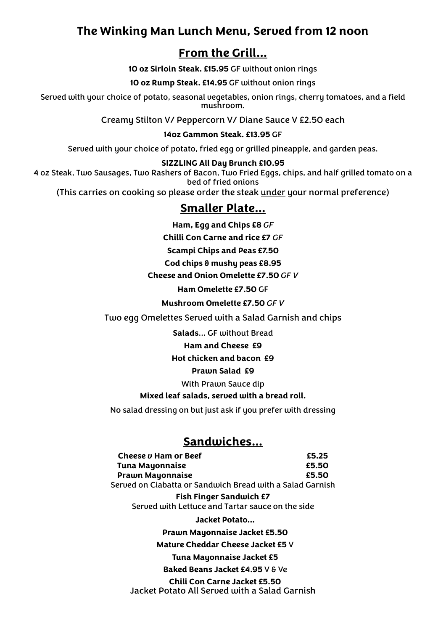## **From the Grill…**

**10 oz Sirloin Steak. £15.95** GF without onion rings

**10 oz Rump Steak. £14.95** GF without onion rings

Served with your choice of potato, seasonal vegetables, onion rings, cherry tomatoes, and a field mushroom.

Creamy Stilton V/ Peppercorn V/ Diane Sauce V £2.50 each

**14oz Gammon Steak. £13.95** GF

Served with your choice of potato, fried egg or grilled pineapple, and garden peas.

#### **SIZZLING All Day Brunch £10.95**

4 oz Steak, Two Sausages, Two Rashers of Bacon, Two Fried Eggs, chips, and half grilled tomato on a bed of fried onions

(This carries on cooking so please order the steak under your normal preference)

### **Smaller Plate…**

**Ham, Egg and Chips £8** *GF*

**Chilli Con Carne and rice £7** *GF*

**Scampi Chips and Peas £7.50**

**Cod chips & mushy peas £8.95**

**Cheese and Onion Omelette £7.50** *GF V*

**Ham Omelette £7.50** GF

**Mushroom Omelette £7.50** *GF V*

Two egg Omelettes Served with a Salad Garnish and chips

**Salads**… GF without Bread

#### **Ham and Cheese £9**

#### **Hot chicken and bacon £9**

#### **Prawn Salad £9**

With Prawn Sauce dip

#### **Mixed leaf salads, served with a bread roll.**

No salad dressing on but just ask if you prefer with dressing

### **Sandwiches…**

| Cheese v Ham or Beef                                      | £5.25 |
|-----------------------------------------------------------|-------|
| Tuna Mayonnaise                                           | £5.50 |
| <b>Prawn Mayonnaise</b>                                   | £5.50 |
| Served on Ciabatta or Sandwich Bread with a Salad Garnish |       |

**Fish Finger Sandwich £7** Served with Lettuce and Tartar sauce on the side

**Jacket Potato…**

**Prawn Mayonnaise Jacket £5.50**

**Mature Cheddar Cheese Jacket £5** V

**Tuna Mayonnaise Jacket £5**

**Baked Beans Jacket £4.95** V & Ve

**Chili Con Carne Jacket £5.50** Jacket Potato All Served with a Salad Garnish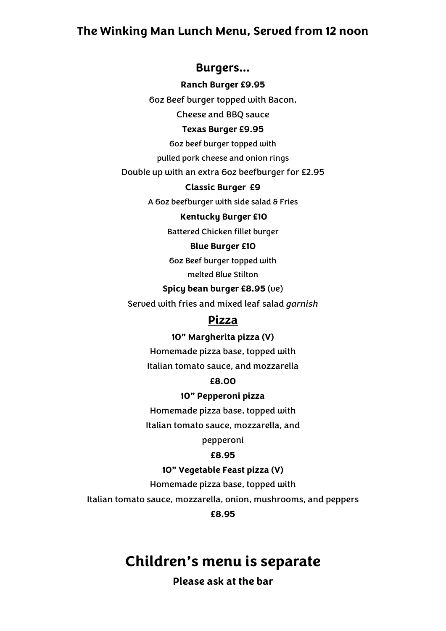#### **Burgers…**

**Ranch Burger £9.95**

6oz Beef burger topped with Bacon,

Cheese and BBQ sauce

#### **Texas Burger £9.95**

6oz beef burger topped with

pulled pork cheese and onion rings

Double up with an extra 6oz beefburger for £2.95

#### **Classic Burger £9**

A 6oz beefburger with side salad & Fries

#### **Kentucky Burger £10**

Battered Chicken fillet burger

#### **Blue Burger £10**

6oz Beef burger topped with

melted Blue Stilton

#### **Spicy bean burger £8.95** (ve)

Served with fries and mixed leaf salad *garnish*

### **Pizza**

#### **10" Margherita pizza (V)**

Homemade pizza base, topped with Italian tomato sauce, and mozzarella

#### **£8.00**

#### **10" Pepperoni pizza**

Homemade pizza base, topped with

Italian tomato sauce, mozzarella, and

pepperoni

#### **£8.95**

#### **10" Vegetable Feast pizza (V)**

Homemade pizza base, topped with

Italian tomato sauce, mozzarella, onion, mushrooms, and peppers

#### **£8.95**

# **Children's menu is separate**

### **Please ask at the bar**